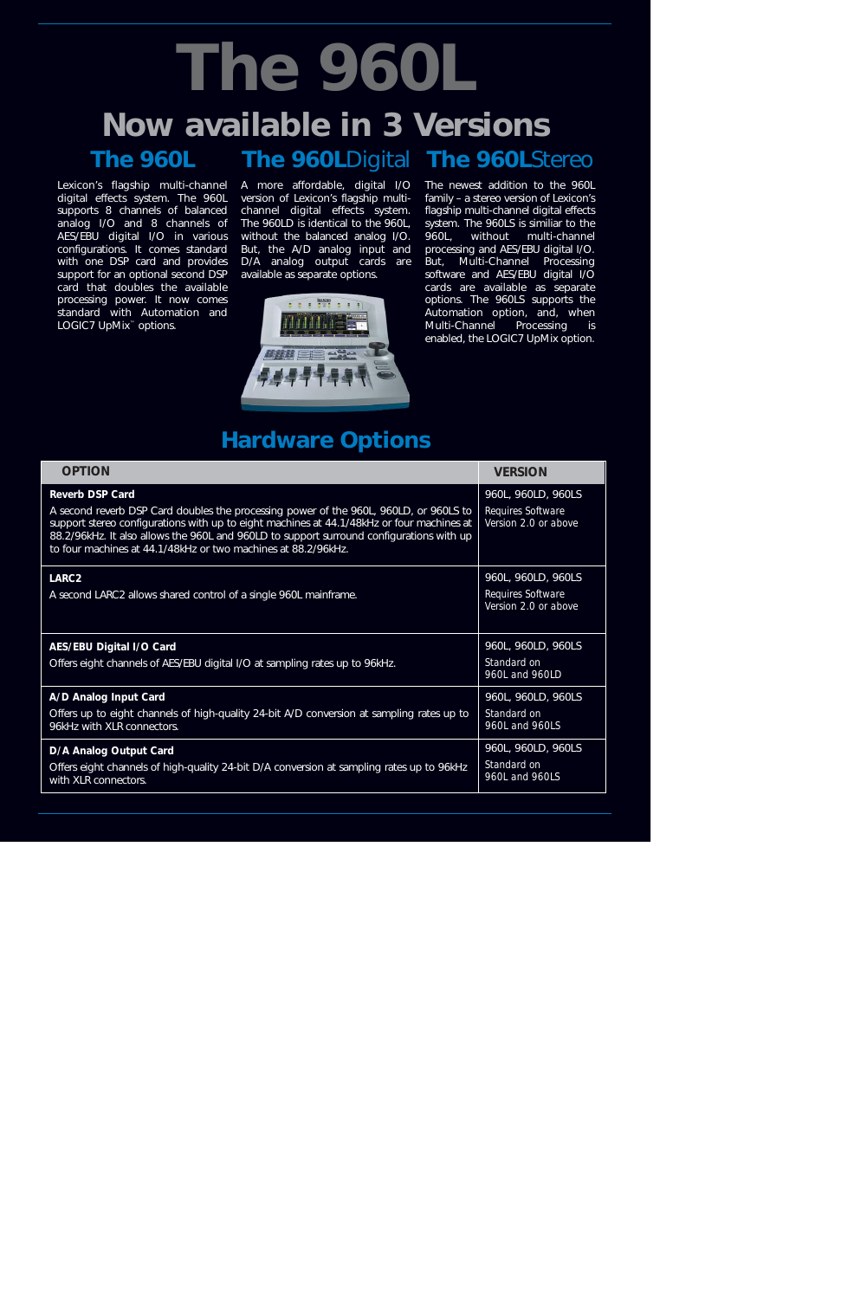## **The 960L**Digital The 960LStereo **The 960L The 960L Now available in 3 Versions**

Lexicon's flagship multi-channel digital effects system. The 960L supports 8 channels of balanced analog I/O and 8 channels of AES/EBU digital I/O in various configurations. It comes standard with one DSP card and provides support for an optional second DSP card that doubles the available processing power. It now comes standard with Automation and LOGIC7 UpMix™ options.

A more affordable, digital I/O version of Lexicon's flagship multichannel digital effects system. The 960LD is identical to the 960L, without the balanced analog I/O. But, the A/D analog input and D/A analog output cards are available as separate options.



The newest addition to the 960L family – a stereo version of Lexicon's flagship multi-channel digital effects system. The 960LS is similiar to the 960L, without multi-channel processing and AES/EBU digital I/O. But, Multi-Channel Processing software and AES/EBU digital I/O cards are available as separate options. The 960LS supports the Automation option, and, when Multi-Channel Processing is enabled, the LOGIC7 UpMix option.

## **Hardware Options**

| <b>OPTION</b>                                                                                                                                                                                                                                                                                                                                                             | <b>VERSION</b>                                                  |
|---------------------------------------------------------------------------------------------------------------------------------------------------------------------------------------------------------------------------------------------------------------------------------------------------------------------------------------------------------------------------|-----------------------------------------------------------------|
| <b>Reverb DSP Card</b><br>A second reverb DSP Card doubles the processing power of the 960L, 960LD, or 960LS to<br>support stereo configurations with up to eight machines at 44.1/48kHz or four machines at<br>88.2/96kHz. It also allows the 960L and 960LD to support surround configurations with up<br>to four machines at 44.1/48kHz or two machines at 88.2/96kHz. | 960L, 960LD, 960LS<br>Requires Software<br>Version 2.0 or above |
| LARC <sub>2</sub><br>A second LARC2 allows shared control of a single 960L mainframe.                                                                                                                                                                                                                                                                                     | 960L, 960LD, 960LS<br>Requires Software<br>Version 2.0 or above |
| <b>AES/EBU Digital I/O Card</b><br>Offers eight channels of AES/EBU digital I/O at sampling rates up to 96kHz.                                                                                                                                                                                                                                                            | 960L, 960LD, 960LS<br>Standard on<br>960L and 960LD             |
| A/D Analog Input Card<br>Offers up to eight channels of high-quality 24-bit A/D conversion at sampling rates up to<br>96kHz with XLR connectors.                                                                                                                                                                                                                          | 960L, 960LD, 960LS<br>Standard on<br>960L and 960LS             |
| D/A Analog Output Card<br>Offers eight channels of high-quality 24-bit D/A conversion at sampling rates up to 96kHz<br>with XLR connectors.                                                                                                                                                                                                                               | 960L, 960LD, 960LS<br>Standard on<br>960L and 960LS             |